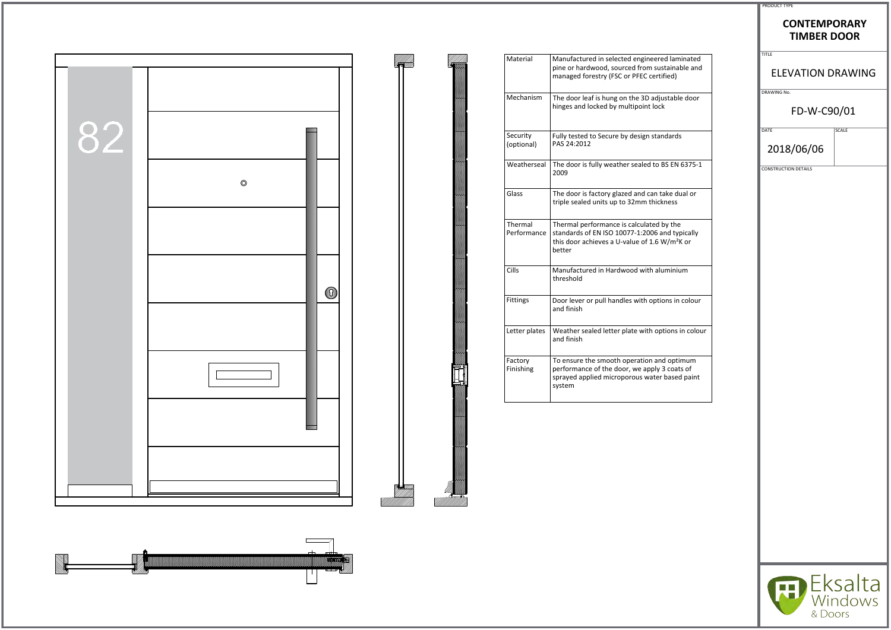|    |                | Material               | Manufactured in selected engineered laminated                                                                                                                                   | TITLE              |
|----|----------------|------------------------|---------------------------------------------------------------------------------------------------------------------------------------------------------------------------------|--------------------|
|    |                |                        | pine or hardwood, sourced from sustainable and<br>managed forestry (FSC or PFEC certified)                                                                                      | <b>ELE</b>         |
|    |                | Mechanism              | The door leaf is hung on the 3D adjustable door<br>hinges and locked by multipoint lock                                                                                         | DRAWING No.        |
| 82 |                | Security<br>(optional) | Fully tested to Secure by design standards<br>PAS 24:2012                                                                                                                       | DATE<br>2018       |
|    | $\circledcirc$ | Weatherseal            | The door is fully weather sealed to BS EN 6375-1<br>2009                                                                                                                        | <b>CONSTRUCTIC</b> |
|    |                | Glass                  | The door is factory glazed and can take dual or<br>triple sealed units up to 32mm thickness                                                                                     |                    |
|    |                | Thermal                | Thermal performance is calculated by the<br>Performance   standards of EN ISO 10077-1:2006 and typically<br>this door achieves a U-value of 1.6 W/m <sup>2</sup> K or<br>better |                    |
|    |                | Cills                  | Manufactured in Hardwood with aluminium<br>threshold                                                                                                                            |                    |
|    | $\circledS$    | Fittings               | Door lever or pull handles with options in colour<br>and finish                                                                                                                 |                    |
|    |                | Letter plates          | Weather sealed letter plate with options in colour<br>and finish                                                                                                                |                    |
|    |                | Factory<br>Finishing   | To ensure the smooth operation and optimum<br>performance of the door, we apply 3 coats of<br>sprayed applied microporous water based paint<br>  system                         |                    |
|    |                |                        |                                                                                                                                                                                 |                    |
|    |                |                        |                                                                                                                                                                                 |                    |
|    |                |                        |                                                                                                                                                                                 |                    |
|    |                |                        |                                                                                                                                                                                 |                    |



| <b>PRODUCT TYPE</b> |  |
|---------------------|--|

## **CONTEMPORARY TIMBER DOOR**

## ELEVATION DRAWING

DRAWING No.

## FD-W-C90/01

 $\sqrt{\text{DATE}}$ 

2018/06/06

CONSTRUCTION DETAILS

| ٠<br>÷ |  |
|--------|--|
|        |  |
|        |  |



| aminated<br>able and<br>I)             |  |
|----------------------------------------|--|
| ble door                               |  |
| ds                                     |  |
| N 6375-1                               |  |
| $\frac{1}{2}$ dual or<br>S.            |  |
| he<br>typically<br>n <sup>2</sup> K or |  |
| –<br>1ium                              |  |
| in colour                              |  |
| is in colour                           |  |
| otimum<br>ats of<br>ed paint           |  |